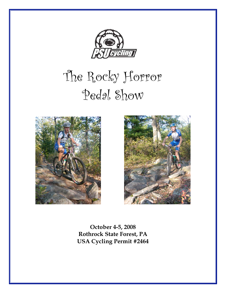

# The Rocky Horror Pedal Show





**October 4-5, 2008 Rothrock State Forest, PA USA Cycling Permit #2464**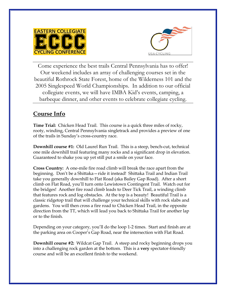



Come experience the best trails Central Pennsylvania has to offer! Our weekend includes an array of challenging courses set in the beautiful Rothrock State Forest, home of the Wilderness 101 and the 2005 Singlespeed World Championships. In addition to our official collegiate events, we will have IMBA Kid's events, camping, a barbeque dinner, and other events to celebrate collegiate cycling.

#### **Course Info**

**Time Trial:** Chicken Head Trail. This course is a quick three miles of rocky, rooty, winding, Central Pennsylvania singletrack and provides a preview of one of the trails in Sunday's cross-country race.

**Downhill course #1:** Old Laurel Run Trail. This is a steep, bench-cut, technical one mile downhill trail featuring many rocks and a significant drop in elevation. Guaranteed to shake you up yet still put a smile on your face.

**Cross Country:** A one-mile fire road climb will break the race apart from the beginning. Don't be a Shittaka—ride it instead! Shittaka Trail and Indian Trail take you generally downhill to Flat Road (aka Bailey Gap Road). After a short climb on Flat Road, you'll turn onto Lewistown Contingent Trail. Watch out for the bridges! Another fire road climb leads to Deer Tick Trail, a winding climb that features rock and log obstacles. At the top is a beauty! Beautiful Trail is a classic ridgetop trail that will challenge your technical skills with rock slabs and gardens. You will then cross a fire road to Chicken Head Trail, in the opposite direction from the TT, which will lead you back to Shittaka Trail for another lap or to the finish.

Depending on your category, you'll do the loop 1-2 times. Start and finish are at the parking area on Cooper's Gap Road, near the intersection with Flat Road.

**Downhill course #2:** Wildcat Gap Trail. A steep and rocky beginning drops you into a challenging rock garden at the bottom. This is a **very** spectator-friendly course and will be an excellent finish to the weekend.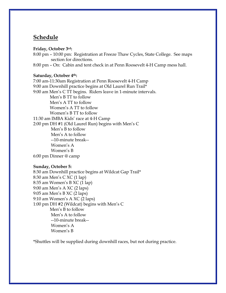#### **Schedule**

#### **Friday, October 3rd:**

8:00 pm – 10:00 pm: Registration at Freeze Thaw Cycles, State College. See maps section for directions.

8:00 pm – On: Cabin and tent check in at Penn Roosevelt 4-H Camp mess hall.

#### **Saturday, October 4th:**

7:00 am-11:30am Registration at Penn Roosevelt 4-H Camp 9:00 am Downhill practice begins at Old Laurel Run Trail\* 9:00 am Men's C TT begins. Riders leave in 1-minute intervals. Men's B TT to follow Men's A TT to follow Women's A TT to follow Women's B TT to follow 11:30 am IMBA Kids' race at 4-H Camp 2:00 pm DH #1 (Old Laurel Run) begins with Men's C Men's B to follow Men's A to follow --10-minute break-- Women's A Women's B 6:00 pm Dinner @ camp

#### **Sunday, October 5:**

8:30 am Downhill practice begins at Wildcat Gap Trail\* 8:30 am Men's C XC (1 lap) 8:35 am Women's B XC (1 lap) 9:00 am Men's A XC (2 laps) 9:05 am Men's B XC (2 laps) 9:10 am Women's A XC (2 laps) 1:00 pm DH #2 (Wildcat) begins with Men's C Men's B to follow Men's A to follow --10-minute break-- Women's A Women's B

\*Shuttles will be supplied during downhill races, but not during practice.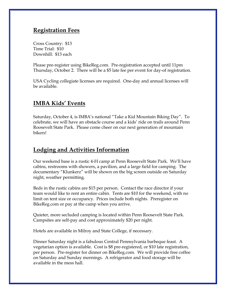#### **Registration Fees**

Cross Country: \$13 Time Trial: \$10 Downhill: \$13 each

Please pre-register using BikeReg.com. Pre-registration accepted until 11pm Thursday, October 2. There will be a \$5 late fee per event for day-of registration.

USA Cycling collegiate licenses are required. One-day and annual licenses will be available.

#### **IMBA Kids' Events**

Saturday, October 4, is IMBA's national "Take a Kid Mountain Biking Day". To celebrate, we will have an obstacle course and a kids' ride on trails around Penn Roosevelt State Park. Please come cheer on our next generation of mountain bikers!

#### **Lodging and Activities Information**

Our weekend base is a rustic 4-H camp at Penn Roosevelt State Park. We'll have cabins, restrooms with showers, a pavilion, and a large field for camping. The documentary "Klunkerz" will be shown on the big screen outside on Saturday night, weather permitting.

Beds in the rustic cabins are \$15 per person. Contact the race director if your team would like to rent an entire cabin. Tents are \$10 for the weekend, with no limit on tent size or occupancy. Prices include both nights. Preregister on BikeReg.com or pay at the camp when you arrive.

Quieter, more secluded camping is located within Penn Roosevelt State Park. Campsites are self-pay and cost approximately \$20 per night.

Hotels are available in Milroy and State College, if necessary.

Dinner Saturday night is a fabulous Central Pennsylvania barbeque feast. A vegetarian option is available. Cost is \$8 pre-registered, or \$10 late registration, per person. Pre-register for dinner on BikeReg.com. We will provide free coffee on Saturday and Sunday mornings. A refrigerator and food storage will be available in the mess hall.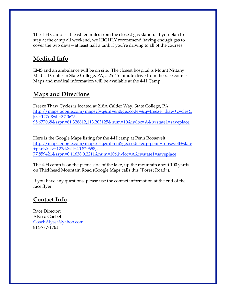The 4-H Camp is at least ten miles from the closest gas station. If you plan to stay at the camp all weekend, we HIGHLY recommend having enough gas to cover the two days—at least half a tank if you're driving to all of the courses!

## **Medical Info**

EMS and an ambulance will be on site. The closest hospital is Mount Nittany Medical Center in State College, PA, a 25-45 minute drive from the race courses. Maps and medical information will be available at the 4-H Camp.

### **Maps and Directions**

Freeze Thaw Cycles is located at 218A Calder Way, State College, PA. http://maps.google.com/maps?f=q&hl=en&geocode=&q=freeze+thaw+cycles& jsv=127d&sll=37.0625,- 95.677068&sspn=61.328812,113.203125&num=10&iwloc=A&iwstate1=saveplace

Here is the Google Maps listing for the 4-H camp at Penn Roosevelt: http://maps.google.com/maps?f=q&hl=en&geocode=&q=penn+roosevelt+state +park&jsv=127d&sll=40.829658,- 77.859421&sspn=0.11638,0.2211&num=10&iwloc=A&iwstate1=saveplace

The 4-H camp is on the picnic side of the lake, up the mountain about 100 yards on Thickhead Mountain Road (Google Maps calls this "Forest Road").

If you have any questions, please use the contact information at the end of the race flyer.

## **Contact Info**

Race Director: Alyssa Gaebel CoachAlyssa@yahoo.com 814-777-1761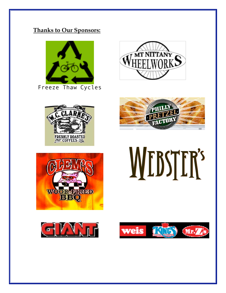## **Thanks to Our Sponsors:**



Freeze Thaw Cycles









**MEBSTER's** 



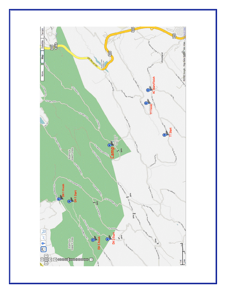